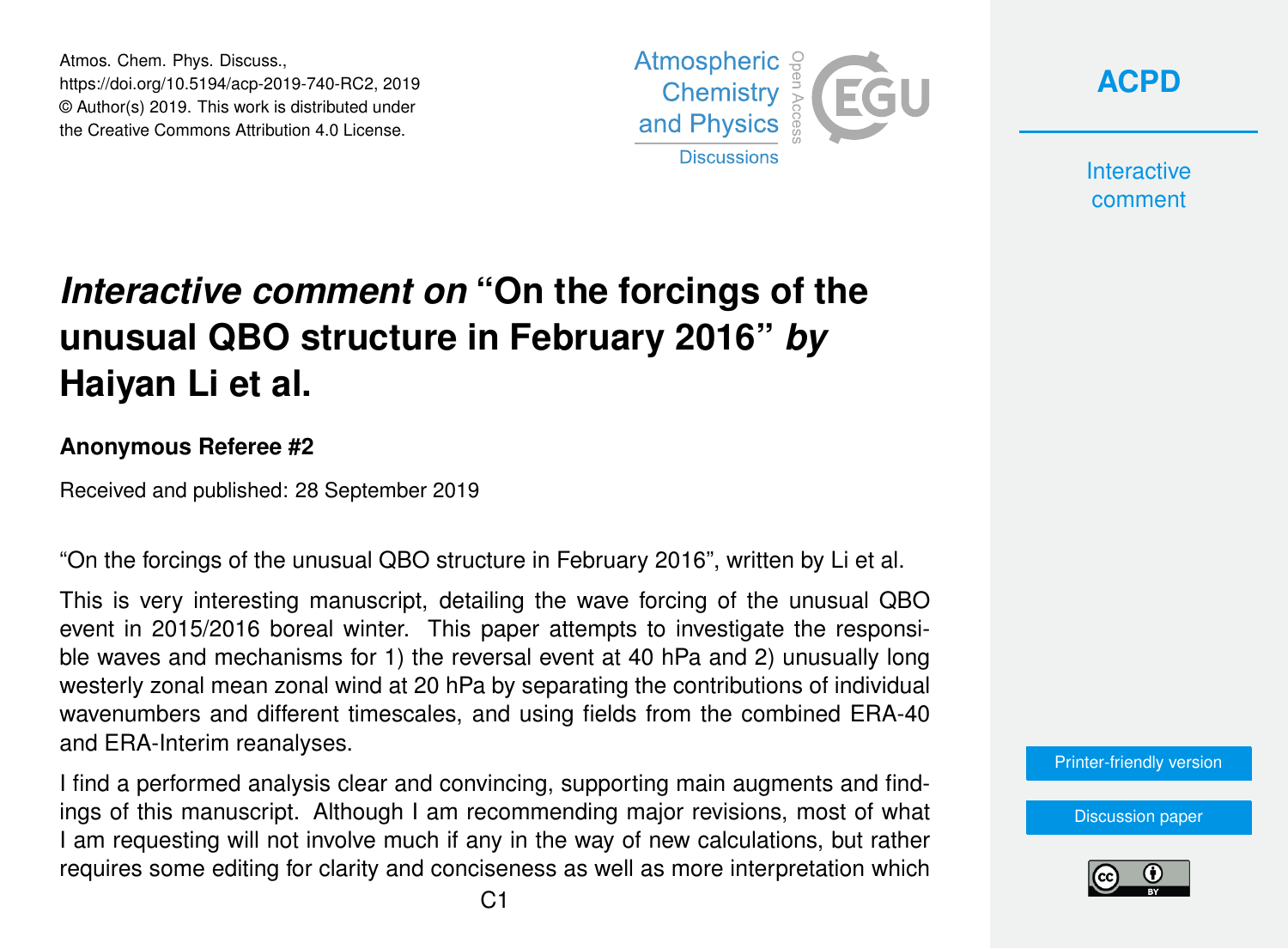Atmos. Chem. Phys. Discuss., https://doi.org/10.5194/acp-2019-740-RC2, 2019 © Author(s) 2019. This work is distributed under the Creative Commons Attribution 4.0 License.



**[ACPD](https://www.atmos-chem-phys-discuss.net/)**

**Interactive** comment

# *Interactive comment on* **"On the forcings of the unusual QBO structure in February 2016"** *by* **Haiyan Li et al.**

#### **Anonymous Referee #2**

Received and published: 28 September 2019

"On the forcings of the unusual QBO structure in February 2016", written by Li et al.

This is very interesting manuscript, detailing the wave forcing of the unusual QBO event in 2015/2016 boreal winter. This paper attempts to investigate the responsible waves and mechanisms for 1) the reversal event at 40 hPa and 2) unusually long westerly zonal mean zonal wind at 20 hPa by separating the contributions of individual wavenumbers and different timescales, and using fields from the combined ERA-40 and ERA-Interim reanalyses.

I find a performed analysis clear and convincing, supporting main augments and findings of this manuscript. Although I am recommending major revisions, most of what I am requesting will not involve much if any in the way of new calculations, but rather requires some editing for clarity and conciseness as well as more interpretation which [Printer-friendly version](https://www.atmos-chem-phys-discuss.net/acp-2019-740/acp-2019-740-RC2-print.pdf)

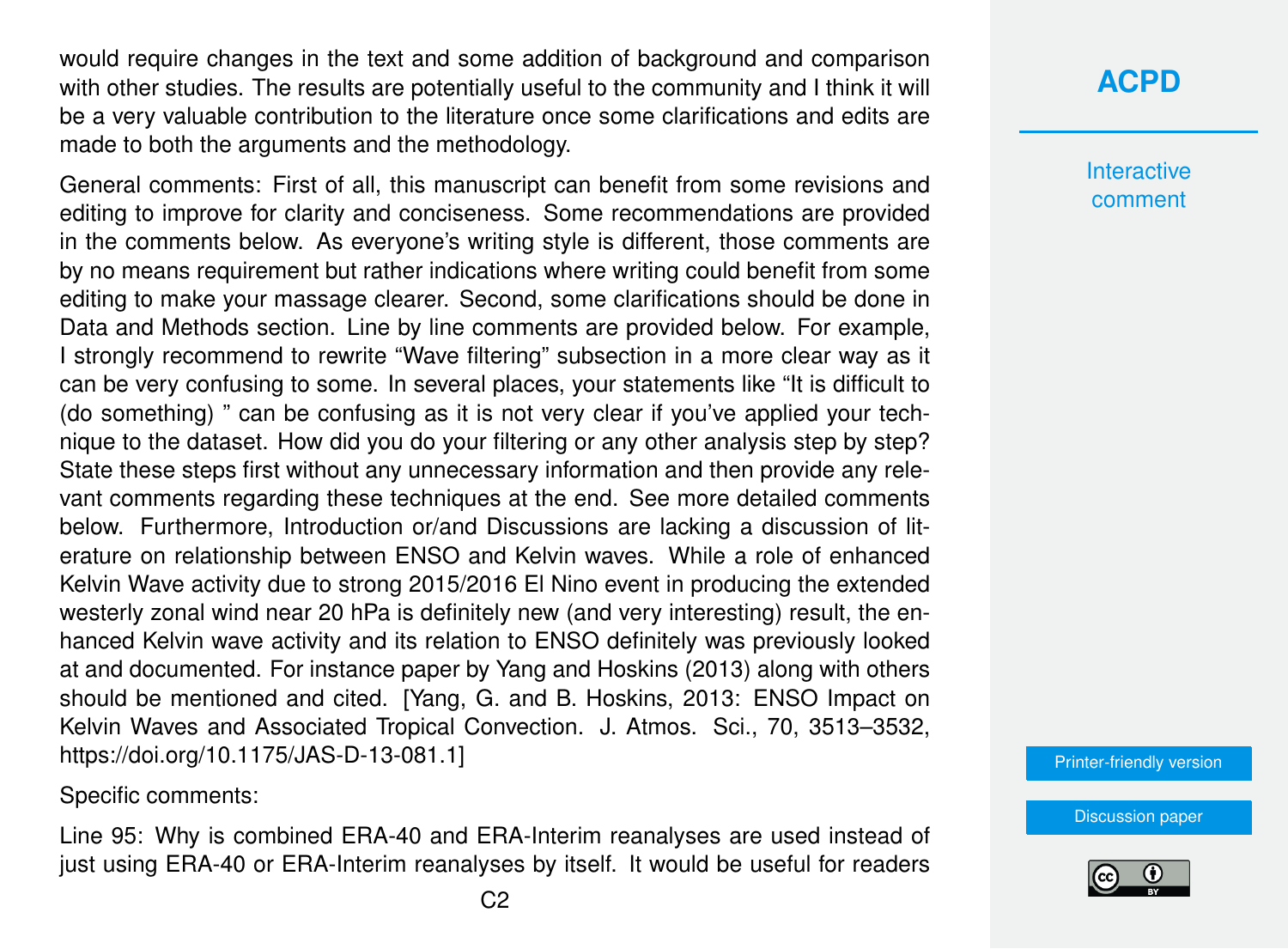would require changes in the text and some addition of background and comparison with other studies. The results are potentially useful to the community and I think it will be a very valuable contribution to the literature once some clarifications and edits are made to both the arguments and the methodology.

General comments: First of all, this manuscript can benefit from some revisions and editing to improve for clarity and conciseness. Some recommendations are provided in the comments below. As everyone's writing style is different, those comments are by no means requirement but rather indications where writing could benefit from some editing to make your massage clearer. Second, some clarifications should be done in Data and Methods section. Line by line comments are provided below. For example, I strongly recommend to rewrite "Wave filtering" subsection in a more clear way as it can be very confusing to some. In several places, your statements like "It is difficult to (do something) " can be confusing as it is not very clear if you've applied your technique to the dataset. How did you do your filtering or any other analysis step by step? State these steps first without any unnecessary information and then provide any relevant comments regarding these techniques at the end. See more detailed comments below. Furthermore, Introduction or/and Discussions are lacking a discussion of literature on relationship between ENSO and Kelvin waves. While a role of enhanced Kelvin Wave activity due to strong 2015/2016 El Nino event in producing the extended westerly zonal wind near 20 hPa is definitely new (and very interesting) result, the enhanced Kelvin wave activity and its relation to ENSO definitely was previously looked at and documented. For instance paper by Yang and Hoskins (2013) along with others should be mentioned and cited. [Yang, G. and B. Hoskins, 2013: ENSO Impact on Kelvin Waves and Associated Tropical Convection. J. Atmos. Sci., 70, 3513–3532, https://doi.org/10.1175/JAS-D-13-081.1]

Specific comments:

Line 95: Why is combined ERA-40 and ERA-Interim reanalyses are used instead of just using ERA-40 or ERA-Interim reanalyses by itself. It would be useful for readers

### **[ACPD](https://www.atmos-chem-phys-discuss.net/)**

**Interactive** comment

[Printer-friendly version](https://www.atmos-chem-phys-discuss.net/acp-2019-740/acp-2019-740-RC2-print.pdf)

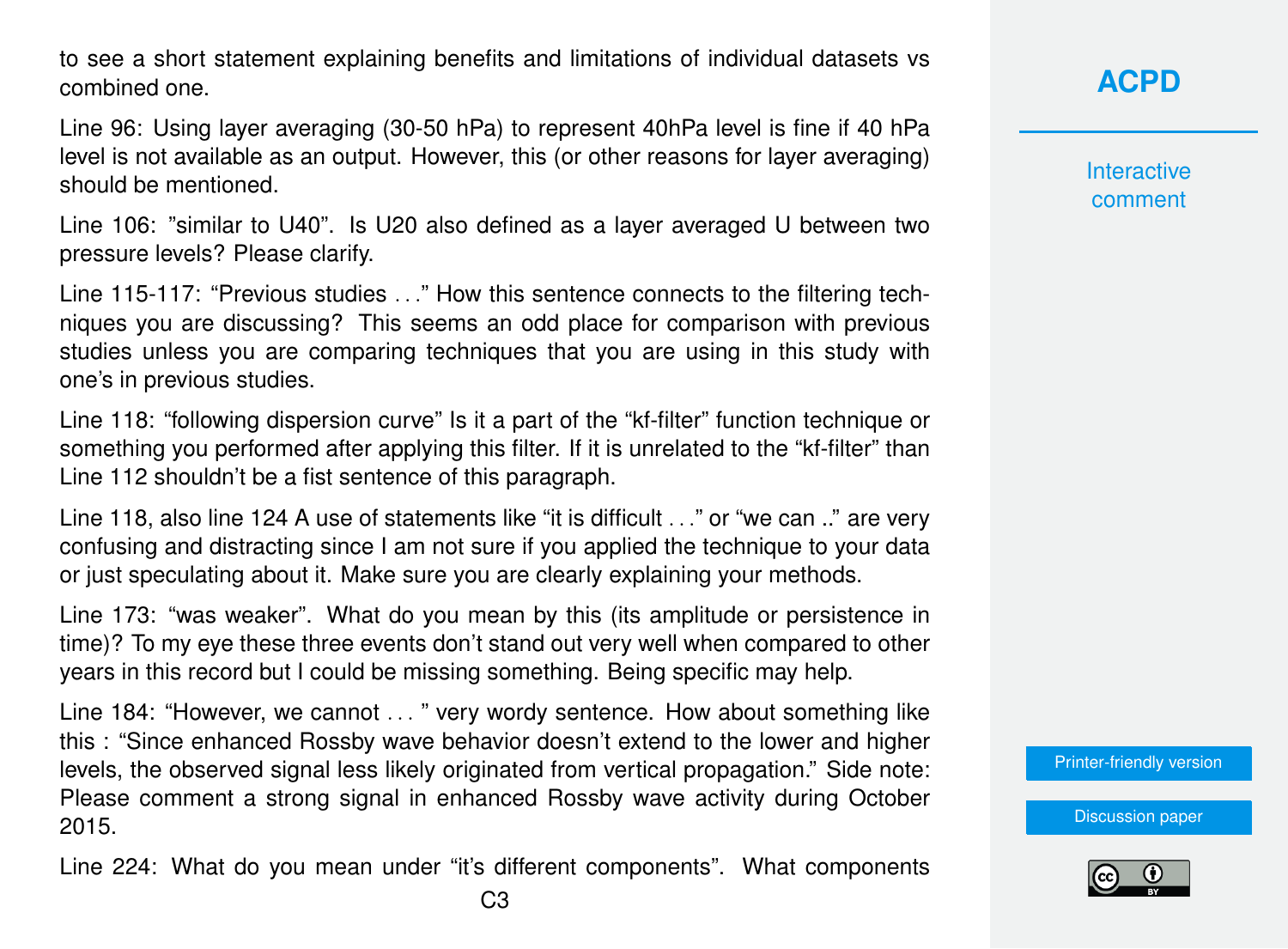to see a short statement explaining benefits and limitations of individual datasets vs combined one.

Line 96: Using layer averaging (30-50 hPa) to represent 40hPa level is fine if 40 hPa level is not available as an output. However, this (or other reasons for layer averaging) should be mentioned.

Line 106: "similar to U40". Is U20 also defined as a layer averaged U between two pressure levels? Please clarify.

Line 115-117: "Previous studies . . ." How this sentence connects to the filtering techniques you are discussing? This seems an odd place for comparison with previous studies unless you are comparing techniques that you are using in this study with one's in previous studies.

Line 118: "following dispersion curve" Is it a part of the "kf-filter" function technique or something you performed after applying this filter. If it is unrelated to the "kf-filter" than Line 112 shouldn't be a fist sentence of this paragraph.

Line 118, also line 124 A use of statements like "it is difficult . . ." or "we can .." are very confusing and distracting since I am not sure if you applied the technique to your data or just speculating about it. Make sure you are clearly explaining your methods.

Line 173: "was weaker". What do you mean by this (its amplitude or persistence in time)? To my eye these three events don't stand out very well when compared to other years in this record but I could be missing something. Being specific may help.

Line 184: "However, we cannot . . . " very wordy sentence. How about something like this : "Since enhanced Rossby wave behavior doesn't extend to the lower and higher levels, the observed signal less likely originated from vertical propagation." Side note: Please comment a strong signal in enhanced Rossby wave activity during October 2015.

Line 224: What do you mean under "it's different components". What components

**[ACPD](https://www.atmos-chem-phys-discuss.net/)**

**Interactive** comment

[Printer-friendly version](https://www.atmos-chem-phys-discuss.net/acp-2019-740/acp-2019-740-RC2-print.pdf)

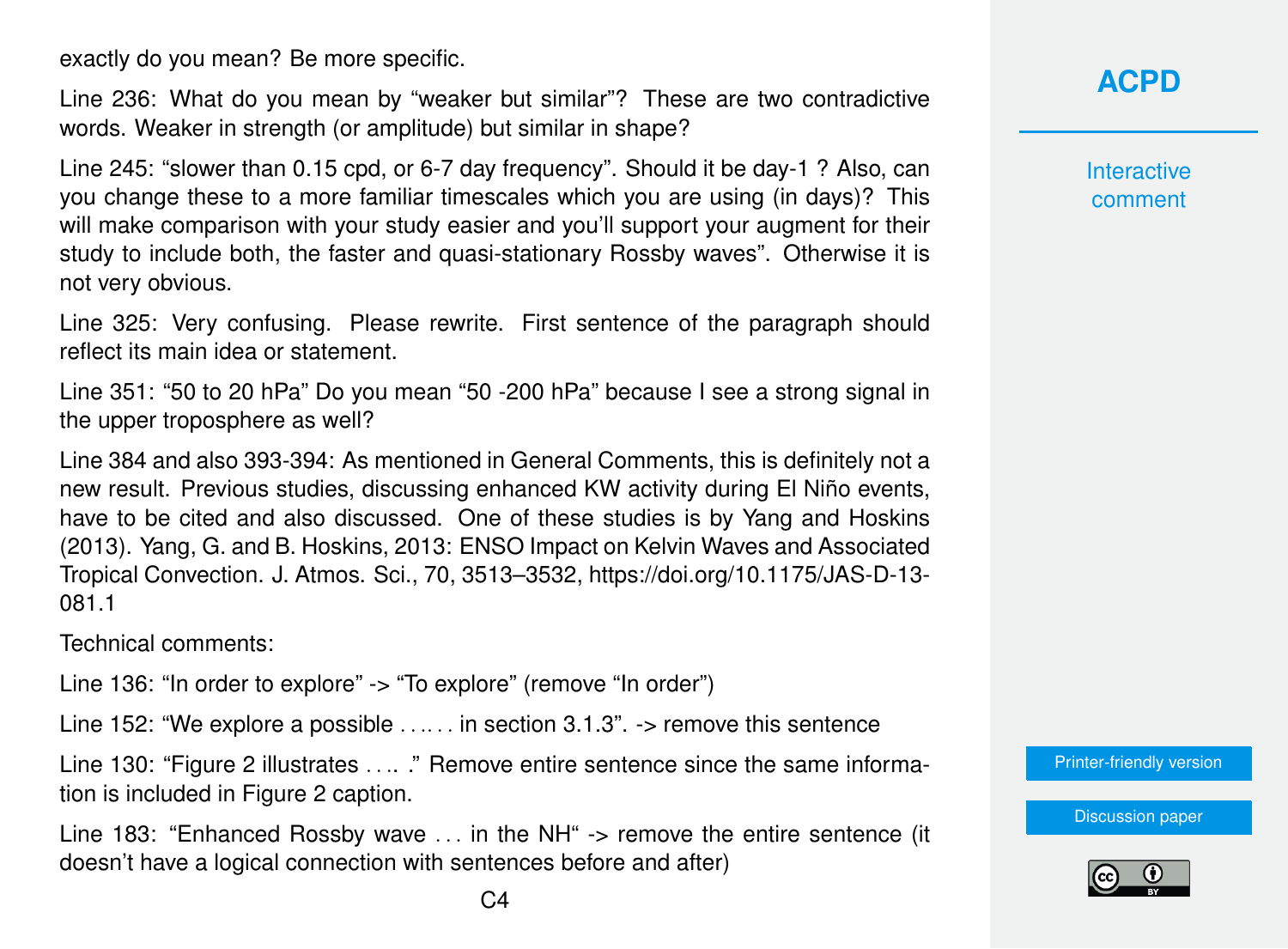exactly do you mean? Be more specific.

Line 236: What do you mean by "weaker but similar"? These are two contradictive words. Weaker in strength (or amplitude) but similar in shape?

Line 245: "slower than 0.15 cpd, or 6-7 day frequency". Should it be day-1 ? Also, can you change these to a more familiar timescales which you are using (in days)? This will make comparison with your study easier and you'll support your augment for their study to include both, the faster and quasi-stationary Rossby waves". Otherwise it is not very obvious.

Line 325: Very confusing. Please rewrite. First sentence of the paragraph should reflect its main idea or statement.

Line 351: "50 to 20 hPa" Do you mean "50 -200 hPa" because I see a strong signal in the upper troposphere as well?

Line 384 and also 393-394: As mentioned in General Comments, this is definitely not a new result. Previous studies, discussing enhanced KW activity during El Niño events, have to be cited and also discussed. One of these studies is by Yang and Hoskins (2013). Yang, G. and B. Hoskins, 2013: ENSO Impact on Kelvin Waves and Associated Tropical Convection. J. Atmos. Sci., 70, 3513–3532, https://doi.org/10.1175/JAS-D-13- 081.1

Technical comments:

Line 136: "In order to explore" -> "To explore" (remove "In order")

Line 152: "We explore a possible . . .. . . in section 3.1.3". -> remove this sentence

Line 130: "Figure 2 illustrates . . .. ." Remove entire sentence since the same information is included in Figure 2 caption.

Line 183: "Enhanced Rossby wave ... in the NH" -> remove the entire sentence (it doesn't have a logical connection with sentences before and after)

**[ACPD](https://www.atmos-chem-phys-discuss.net/)**

**Interactive** comment

[Printer-friendly version](https://www.atmos-chem-phys-discuss.net/acp-2019-740/acp-2019-740-RC2-print.pdf)

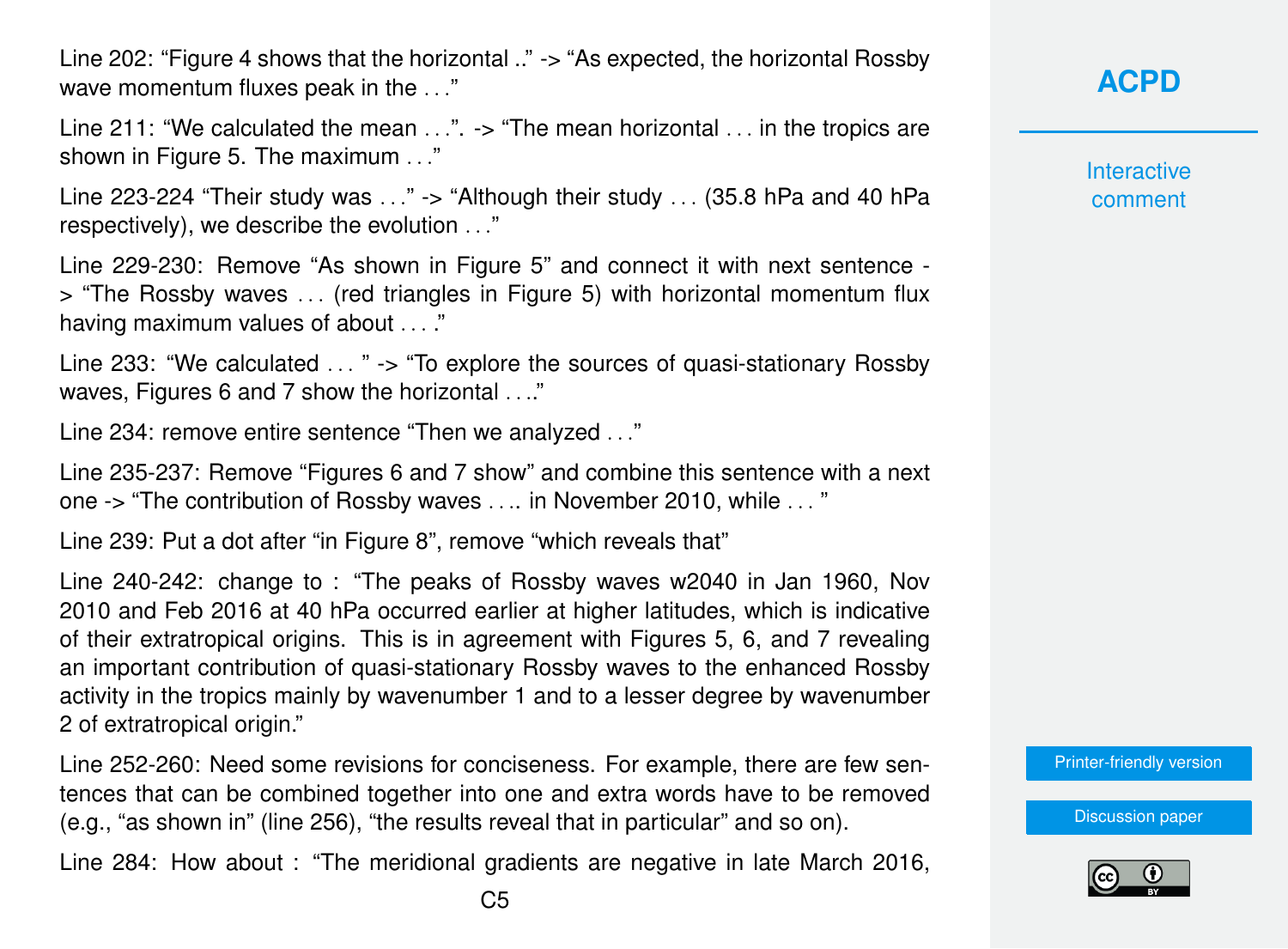Line 202: "Figure 4 shows that the horizontal .." -> "As expected, the horizontal Rossby wave momentum fluxes peak in the ..."

Line 211: "We calculated the mean  $\ldots$ ".  $\cdot$  "The mean horizontal  $\ldots$  in the tropics are shown in Figure 5. The maximum . . ."

Line 223-224 "Their study was  $\ldots$ " -> "Although their study  $\ldots$  (35.8 hPa and 40 hPa respectively), we describe the evolution . . ."

Line 229-230: Remove "As shown in Figure 5" and connect it with next sentence -> "The Rossby waves . . . (red triangles in Figure 5) with horizontal momentum flux having maximum values of about . . . ."

Line 233: "We calculated . . . " -> "To explore the sources of quasi-stationary Rossby waves, Figures 6 and 7 show the horizontal . . ."

Line 234: remove entire sentence "Then we analyzed . . ."

Line 235-237: Remove "Figures 6 and 7 show" and combine this sentence with a next one -> "The contribution of Rossby waves . . .. in November 2010, while . . . "

Line 239: Put a dot after "in Figure 8", remove "which reveals that"

Line 240-242: change to : "The peaks of Rossby waves w2040 in Jan 1960, Nov 2010 and Feb 2016 at 40 hPa occurred earlier at higher latitudes, which is indicative of their extratropical origins. This is in agreement with Figures 5, 6, and 7 revealing an important contribution of quasi-stationary Rossby waves to the enhanced Rossby activity in the tropics mainly by wavenumber 1 and to a lesser degree by wavenumber 2 of extratropical origin."

Line 252-260: Need some revisions for conciseness. For example, there are few sentences that can be combined together into one and extra words have to be removed (e.g., "as shown in" (line 256), "the results reveal that in particular" and so on).

Line 284: How about : "The meridional gradients are negative in late March 2016,

### **[ACPD](https://www.atmos-chem-phys-discuss.net/)**

**Interactive** comment

[Printer-friendly version](https://www.atmos-chem-phys-discuss.net/acp-2019-740/acp-2019-740-RC2-print.pdf)